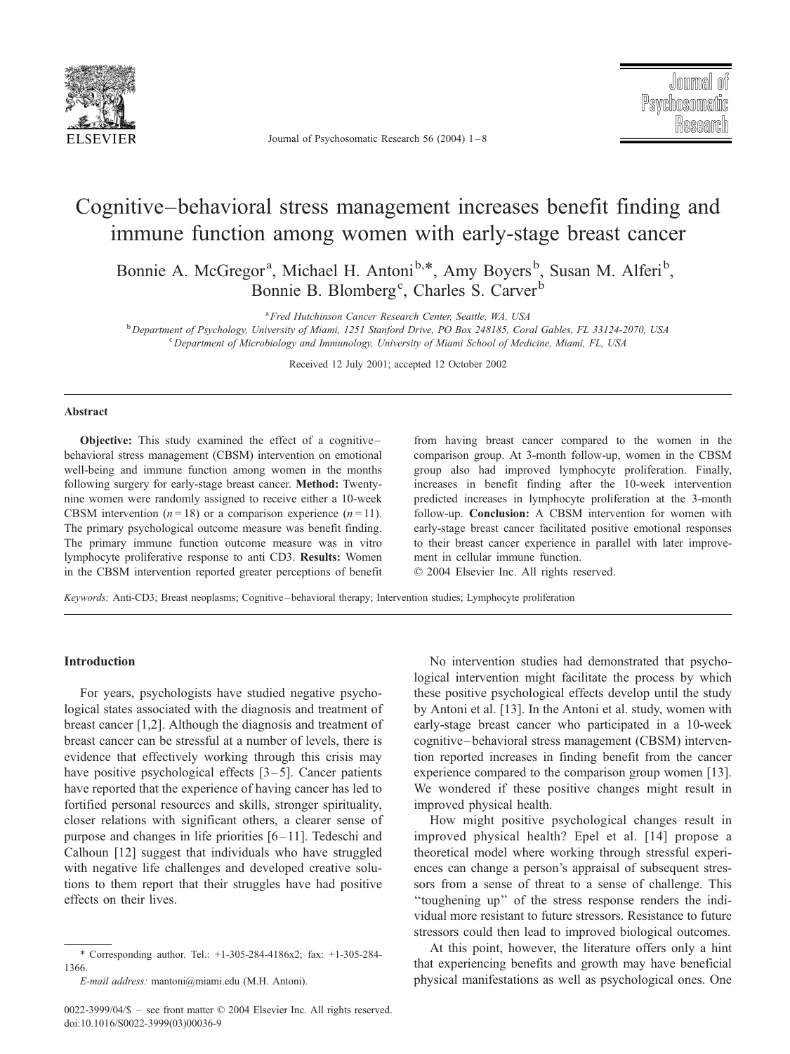

Journal of Psychosomatic Research 56 (2004) 1 – 8

## Cognitive–behavioral stress management increases benefit finding and immune function among women with early-stage breast cancer

Bonnie A. McGregor<sup>a</sup>, Michael H. Antoni<sup>b,\*</sup>, Amy Boyers<sup>b</sup>, Susan M. Alferi<sup>b</sup>, Bonnie B. Blomberg<sup>c</sup>, Charles S. Carver<sup>b</sup>

<sup>a</sup> Fred Hutchinson Cancer Research Center, Seattle, WA, USA <sup>8</sup> Fred Hutchinson Cancer Research Center, Seattle, WA, USA<br><sup>b</sup> Department of Bauchology, University of Miami, 1951 Starford Drive, PO Pex 248185, Con

Department of Psychology, University of Miami, 1251 Stanford Drive, PO Box 248185, Coral Gables, FL 33124-2070, USA <sup>c</sup> <sup>c</sup> Department of Microbiology and Immunology, University of Miami School of Medicine, Miami, FL, USA

Received 12 July 2001; accepted 12 October 2002

#### Abstract

Objective: This study examined the effect of a cognitive – behavioral stress management (CBSM) intervention on emotional well-being and immune function among women in the months following surgery for early-stage breast cancer. Method: Twentynine women were randomly assigned to receive either a 10-week CBSM intervention ( $n = 18$ ) or a comparison experience ( $n = 11$ ). The primary psychological outcome measure was benefit finding. The primary immune function outcome measure was in vitro lymphocyte proliferative response to anti CD3. Results: Women in the CBSM intervention reported greater perceptions of benefit from having breast cancer compared to the women in the comparison group. At 3-month follow-up, women in the CBSM group also had improved lymphocyte proliferation. Finally, increases in benefit finding after the 10-week intervention predicted increases in lymphocyte proliferation at the 3-month follow-up. Conclusion: A CBSM intervention for women with early-stage breast cancer facilitated positive emotional responses to their breast cancer experience in parallel with later improvement in cellular immune function.

 $© 2004 Elsevier Inc. All rights reserved.$ 

Keywords: Anti-CD3; Breast neoplasms; Cognitive – behavioral therapy; Intervention studies; Lymphocyte proliferation

#### Introduction

For years, psychologists have studied negative psychological states associated with the diagnosis and treatment of breast cancer [1,2]. Although the diagnosis and treatment of breast cancer can be stressful at a number of levels, there is evidence that effectively working through this crisis may have positive psychological effects  $[3-5]$ . Cancer patients have reported that the experience of having cancer has led to fortified personal resources and skills, stronger spirituality, closer relations with significant others, a clearer sense of purpose and changes in life priorities  $[6-11]$ . Tedeschi and Calhoun [12] suggest that individuals who have struggled with negative life challenges and developed creative solutions to them report that their struggles have had positive effects on their lives.

No intervention studies had demonstrated that psychological intervention might facilitate the process by which these positive psychological effects develop until the study by Antoni et al. [13]. In the Antoni et al. study, women with early-stage breast cancer who participated in a 10-week cognitive – behavioral stress management (CBSM) intervention reported increases in finding benefit from the cancer experience compared to the comparison group women [13]. We wondered if these positive changes might result in improved physical health.

How might positive psychological changes result in improved physical health? Epel et al. [14] propose a theoretical model where working through stressful experiences can change a person's appraisal of subsequent stressors from a sense of threat to a sense of challenge. This ''toughening up'' of the stress response renders the individual more resistant to future stressors. Resistance to future stressors could then lead to improved biological outcomes.

At this point, however, the literature offers only a hint that experiencing benefits and growth may have beneficial physical manifestations as well as psychological ones. One

<sup>\*</sup> Corresponding author. Tel.: +1-305-284-4186x2; fax: +1-305-284- 1366.

E-mail address: mantoni@miami.edu (M.H. Antoni).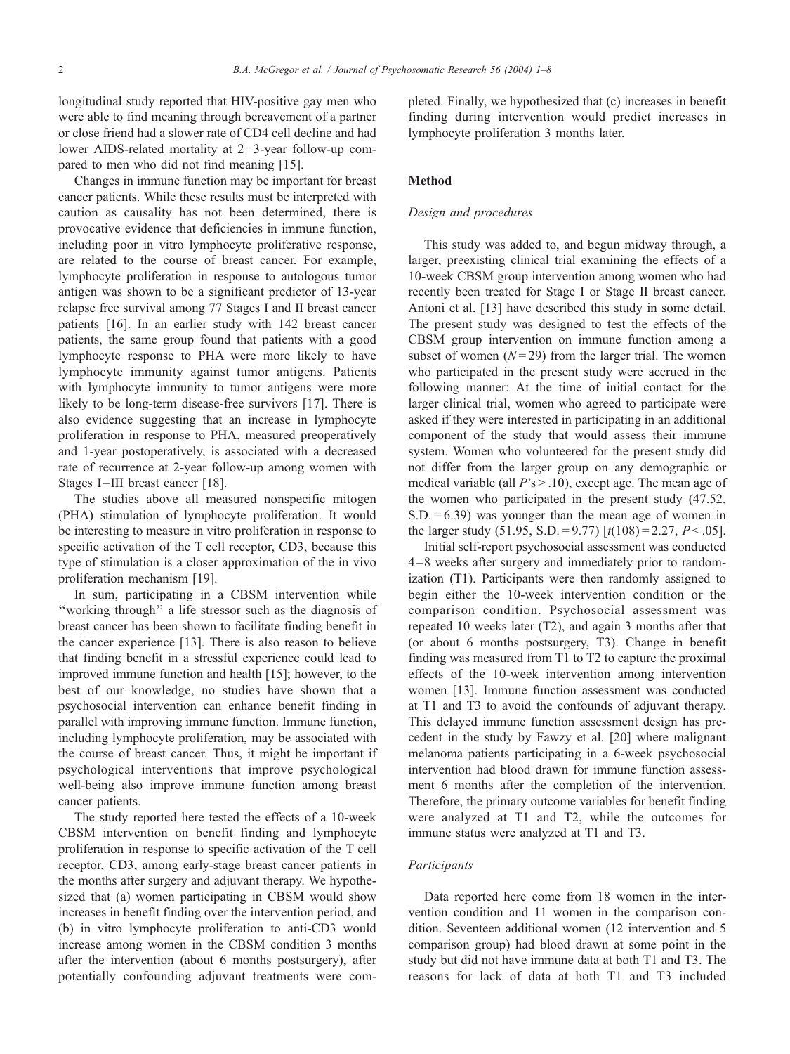longitudinal study reported that HIV-positive gay men who were able to find meaning through bereavement of a partner or close friend had a slower rate of CD4 cell decline and had lower AIDS-related mortality at 2– 3-year follow-up compared to men who did not find meaning [15].

Changes in immune function may be important for breast cancer patients. While these results must be interpreted with caution as causality has not been determined, there is provocative evidence that deficiencies in immune function, including poor in vitro lymphocyte proliferative response, are related to the course of breast cancer. For example, lymphocyte proliferation in response to autologous tumor antigen was shown to be a significant predictor of 13-year relapse free survival among 77 Stages I and II breast cancer patients [16]. In an earlier study with 142 breast cancer patients, the same group found that patients with a good lymphocyte response to PHA were more likely to have lymphocyte immunity against tumor antigens. Patients with lymphocyte immunity to tumor antigens were more likely to be long-term disease-free survivors [17]. There is also evidence suggesting that an increase in lymphocyte proliferation in response to PHA, measured preoperatively and 1-year postoperatively, is associated with a decreased rate of recurrence at 2-year follow-up among women with Stages I-III breast cancer [18].

The studies above all measured nonspecific mitogen (PHA) stimulation of lymphocyte proliferation. It would be interesting to measure in vitro proliferation in response to specific activation of the T cell receptor, CD3, because this type of stimulation is a closer approximation of the in vivo proliferation mechanism [19].

In sum, participating in a CBSM intervention while ''working through'' a life stressor such as the diagnosis of breast cancer has been shown to facilitate finding benefit in the cancer experience [13]. There is also reason to believe that finding benefit in a stressful experience could lead to improved immune function and health [15]; however, to the best of our knowledge, no studies have shown that a psychosocial intervention can enhance benefit finding in parallel with improving immune function. Immune function, including lymphocyte proliferation, may be associated with the course of breast cancer. Thus, it might be important if psychological interventions that improve psychological well-being also improve immune function among breast cancer patients.

The study reported here tested the effects of a 10-week CBSM intervention on benefit finding and lymphocyte proliferation in response to specific activation of the T cell receptor, CD3, among early-stage breast cancer patients in the months after surgery and adjuvant therapy. We hypothesized that (a) women participating in CBSM would show increases in benefit finding over the intervention period, and (b) in vitro lymphocyte proliferation to anti-CD3 would increase among women in the CBSM condition 3 months after the intervention (about 6 months postsurgery), after potentially confounding adjuvant treatments were completed. Finally, we hypothesized that (c) increases in benefit finding during intervention would predict increases in lymphocyte proliferation 3 months later.

### **Method**

#### Design and procedures

This study was added to, and begun midway through, a larger, preexisting clinical trial examining the effects of a 10-week CBSM group intervention among women who had recently been treated for Stage I or Stage II breast cancer. Antoni et al. [13] have described this study in some detail. The present study was designed to test the effects of the CBSM group intervention on immune function among a subset of women  $(N=29)$  from the larger trial. The women who participated in the present study were accrued in the following manner: At the time of initial contact for the larger clinical trial, women who agreed to participate were asked if they were interested in participating in an additional component of the study that would assess their immune system. Women who volunteered for the present study did not differ from the larger group on any demographic or medical variable (all  $P's > .10$ ), except age. The mean age of the women who participated in the present study (47.52,  $S.D. = 6.39$  was younger than the mean age of women in the larger study (51.95, S.D. = 9.77)  $\lceil t(108) = 2.27, P < .05 \rceil$ .

Initial self-report psychosocial assessment was conducted 4 –8 weeks after surgery and immediately prior to randomization (T1). Participants were then randomly assigned to begin either the 10-week intervention condition or the comparison condition. Psychosocial assessment was repeated 10 weeks later (T2), and again 3 months after that (or about 6 months postsurgery, T3). Change in benefit finding was measured from T1 to T2 to capture the proximal effects of the 10-week intervention among intervention women [13]. Immune function assessment was conducted at T1 and T3 to avoid the confounds of adjuvant therapy. This delayed immune function assessment design has precedent in the study by Fawzy et al. [20] where malignant melanoma patients participating in a 6-week psychosocial intervention had blood drawn for immune function assessment 6 months after the completion of the intervention. Therefore, the primary outcome variables for benefit finding were analyzed at T1 and T2, while the outcomes for immune status were analyzed at T1 and T3.

## **Participants**

Data reported here come from 18 women in the intervention condition and 11 women in the comparison condition. Seventeen additional women (12 intervention and 5 comparison group) had blood drawn at some point in the study but did not have immune data at both T1 and T3. The reasons for lack of data at both T1 and T3 included